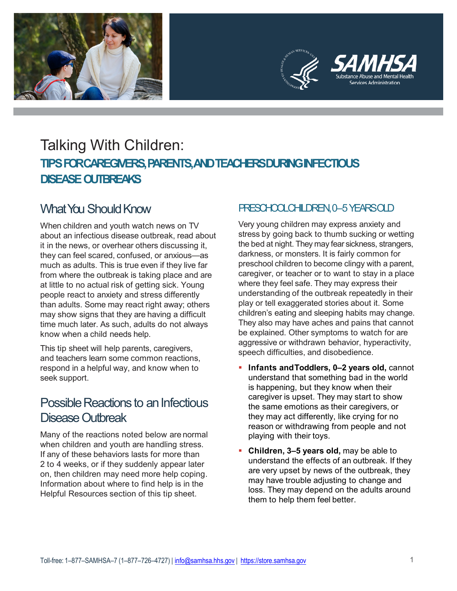

# Talking With Children: **TIPS FOR CAREGIVERS, PARENTS, AND TEACHERS DURING INFECTIOUS DISEASE OUTBREAKS**

## What You Should Know

When children and youth watch news on TV about an infectious disease outbreak, read about it in the news, or overhear others discussing it, they can feel scared, confused, or anxious—as much as adults. This is true even if they live far from where the outbreak is taking place and are at little to no actual risk of getting sick. Young people react to anxiety and stress differently than adults. Some may react right away; others may show signs that they are having a difficult time much later. As such, adults do not always know when a child needs help.

This tip sheet will help parents, caregivers, and teachers learn some common reactions, respond in a helpful way, and know when to seek support.

## Possible Reactions to an Infectious Disease Outbreak

Many of the reactions noted below are normal when children and youth are handling stress. If any of these behaviors lasts for more than 2 to 4 weeks, or if they suddenly appear later on, then children may need more help coping. Information about where to find help is in the Helpful Resources section of this tip sheet.

### PRESCHOOL CHILDREN, 0-5 YEARSOLD

Services Administration

Very young children may express anxiety and stress by going back to thumb sucking or wetting the bed at night. They may fear sickness, strangers, darkness, or monsters. It is fairly common for preschool children to become clingy with a parent, caregiver, or teacher or to want to stay in a place where they feel safe. They may express their understanding of the outbreak repeatedly in their play or tell exaggerated stories about it. Some children's eating and sleeping habits may change. They also may have aches and pains that cannot be explained. Other symptoms to watch for are aggressive or withdrawn behavior, hyperactivity, speech difficulties, and disobedience.

- **Infants and Toddlers, 0–2 years old, cannot** understand that something bad in the world is happening, but they know when their caregiver is upset. They may start to show the same emotions as their caregivers, or they may act differently, like crying for no reason or withdrawing from people and not playing with their toys.
- **Children, 3–5 years old,** may be able to understand the effects of an outbreak. If they are very upset by news of the outbreak, they may have trouble adjusting to change and loss. They may depend on the adults around them to help them feel better.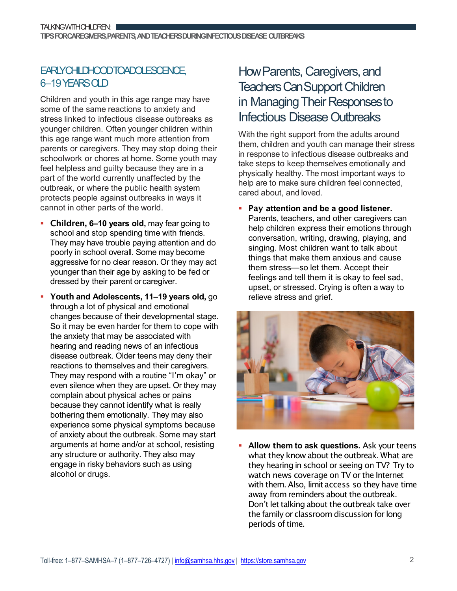### EARLY CHILDHOOD TO ADOLESCENCE, 6–19 YEARSOLD

Children and youth in this age range may have some of the same reactions to anxiety and stress linked to infectious disease outbreaks as younger children. Often younger children within this age range want much more attention from parents or caregivers. They may stop doing their schoolwork or chores at home. Some youth may feel helpless and guilty because they are in a part of the world currently unaffected by the outbreak, or where the public health system protects people against outbreaks in ways it cannot in other parts of the world.

- Children, **6–10 years old,** may fear going to school and stop spending time with friends. They may have trouble paying attention and do poorly in school overall. Some may become aggressive for no clear reason. Or they may act younger than their age by asking to be fed or dressed by their parent or caregiver.
- Youth **and Adolescents, 11–19 years old,** go through a lot of physical and emotional changes because of their developmental stage. So it may be even harder for them to cope with the anxiety that may be associated with hearing and reading news of an infectious disease outbreak. Older teens may deny their reactions to themselves and their caregivers. They may respond with a routine "I'm okay" or even silence when they are upset. Or they may complain about physical aches or pains because they cannot identify what is really bothering them emotionally. They may also experience some physical symptoms because of anxiety about the outbreak. Some may start arguments at home and/or at school, resisting any structure or authority. They also may engage in risky behaviors such as using alcohol or drugs.

## How Parents, Caregivers, and Teachers Can Support Children in Managing Their Responses to **Infectious Disease Outbreaks**

With the right support from the adults around them, children and youth can manage their stress in response to infectious disease outbreaks and take steps to keep themselves emotionally and physically healthy. The most important ways to help are to make sure children feel connected, cared about, and loved.

 Pay **attention and be a good listener.**  Parents, teachers, and other caregivers can help children express their emotions through conversation, writing, drawing, playing, and singing. Most children want to talk about things that make them anxious and cause them stress—so let them. Accept their feelings and tell them it is okay to feel sad, upset, or stressed. Crying is often a way to relieve stress and grief.



 Allow t**hem to ask questions.** Ask your teens what they know about the outbreak. What are they hearing in school or seeing on TV? Try to watch news coverage on TV or the Internet with them. Also, limit access so they have time away from reminders about the outbreak. Don't let talking about the outbreak take over the family or classroom discussion for long periods of time.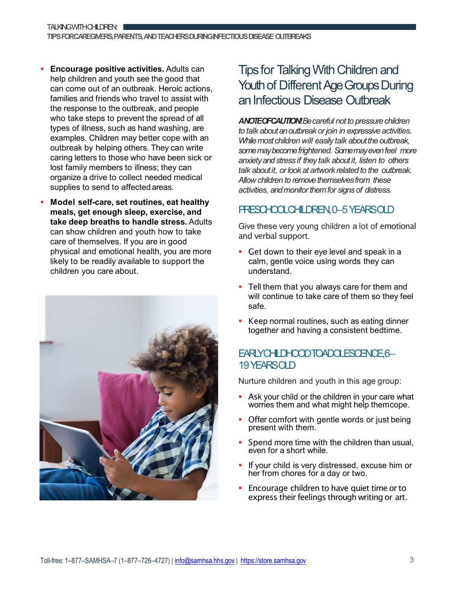- **Encourage positive activities.** Adults can help children and youth see the good that can come out of an outbreak. Heroic actions, families and friends who travel to assist with the response to the outbreak, and people who take steps to prevent the spread of all types of illness, such as hand washing, are examples. Children may better cope with an outbreak by helping others. They can write caring letters to those who have been sick or lost family members to illness; they can organize a drive to collect needed medical supplies to send to affected areas.
- **Model self-care, set routines, eat healthy meals, get enough sleep, exercise, and take deep breaths to handle stress.** Adults can show children and youth how to take care of themselves. If you are in good physical and emotional health, you are more likely to be readily available to support the children you care about.



## Tips for Talking With Children and Youth of Different Age Groups During an Infectious Disease Outbreak

*A NOTE OF CAUTION! Be careful not to pressure children to talk about an outbreak or join in expressive activities. While most children will easily talk about the outbreak, some may become frightened. Some may even feel more anxiety and stress if they talk about it, listen to others talk about it, or look at artwork related to the outbreak. Allow children to remove themselves from these activities, and monitor them for signs of distress.*

### PRESCHOOL CHILDREN, 0-5 YEARSOLD

Give these very young children a lot of emotional and verbal support.

- Get down to their eve level and speak in a calm, gentle voice using words they can understand.
- **Tell them that you always care for them and** will continue to take care of them so they feel safe.
- Keep normal routines, such as eating dinner together and having a consistent bedtime.

### EARLY CHILDHOOD TO ADOLESCENCE 6-19 YEARSOLD

Nurture children and youth in this age group:

- Ask your child or the children in your care what worries them and what might help themcope.
- Offer comfort with gentle words or just being present with them.
- Spend more time with the children than usual, even for a short while.
- If your child is very distressed, excuse him or her from chores for a day or two.
- **Encourage children to have quiet time or to** express their feelings through writing or art.